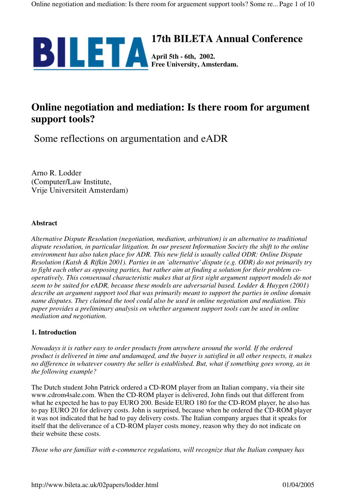

# **Online negotiation and mediation: Is there room for argument support tools?**

Some reflections on argumentation and eADR

Arno R. Lodder (Computer/Law Institute, Vrije Universiteit Amsterdam)

## **Abstract**

*Alternative Dispute Resolution (negotiation, mediation, arbitration) is an alternative to traditional dispute resolution, in particular litigation. In our present Information Society the shift to the online environment has also taken place for ADR. This new field is usually called ODR: Online Dispute Resolution (Katsh & Rifkin 2001). Parties in an `alternative' dispute (e.g. ODR) do not primarily try to fight each other as opposing parties, but rather aim at finding a solution for their problem cooperatively. This consensual characteristic makes that at first sight argument support models do not seem to be suited for eADR, because these models are adversarial based. Lodder & Huygen (2001) describe an argument support tool that was primarily meant to support the parties in online domain name disputes. They claimed the tool could also be used in online negotiation and mediation. This paper provides a preliminary analysis on whether argument support tools can be used in online mediation and negotiation.*

# **1. Introduction**

*Nowadays it is rather easy to order products from anywhere around the world. If the ordered product is delivered in time and undamaged, and the buyer is satisfied in all other respects, it makes no difference in whatever country the seller is established. But, what if something goes wrong, as in the following example?*

The Dutch student John Patrick ordered a CD-ROM player from an Italian company, via their site www.cdrom4sale.com. When the CD-ROM player is delivered, John finds out that different from what he expected he has to pay EURO 200. Beside EURO 180 for the CD-ROM player, he also has to pay EURO 20 for delivery costs. John is surprised, because when he ordered the CD-ROM player it was not indicated that he had to pay delivery costs. The Italian company argues that it speaks for itself that the deliverance of a CD-ROM player costs money, reason why they do not indicate on their website these costs.

*Those who are familiar with e-commerce regulations, will recognize that the Italian company has*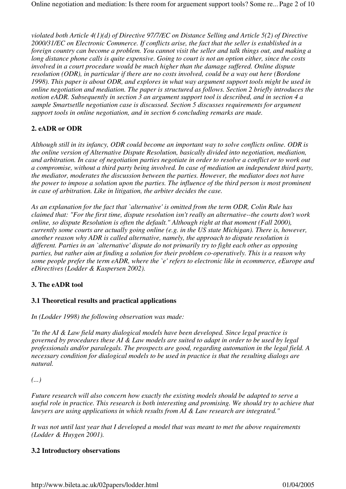*violated both Article 4(1)(d) of Directive 97/7/EC on Distance Selling and Article 5(2) of Directive 2000/31/EC on Electronic Commerce. If conflicts arise, the fact that the seller is established in a foreign country can become a problem. You cannot visit the seller and talk things out, and making a long distance phone calls is quite expensive. Going to court is not an option either, since the costs involved in a court procedure would be much higher than the damage suffered. Online dispute resolution (ODR), in particular if there are no costs involved, could be a way out here (Bordone 1998). This paper is about ODR, and explores in what way argument support tools might be used in online negotiation and mediation. The paper is structured as follows. Section 2 briefly introduces the notion eADR. Subsequently in section 3 an argument support tool is described, and in section 4 a sample Smartsetlle negotiation case is discussed. Section 5 discusses requirements for argument support tools in online negotiation, and in section 6 concluding remarks are made.*

# **2. eADR or ODR**

*Although still in its infancy, ODR could become an important way to solve conflicts online. ODR is the online version of Alternative Dispute Resolution, basically divided into negotiation, mediation, and arbitration. In case of negotiation parties negotiate in order to resolve a conflict or to work out a compromise, without a third party being involved. In case of mediation an independent third party, the mediator, moderates the discussion between the parties. However, the mediator does not have the power to impose a solution upon the parties. The influence of the third person is most prominent in case of arbitration. Like in litigation, the arbiter decides the case.*

*As an explanation for the fact that `alternative' is omitted from the term ODR, Colin Rule has claimed that: "For the first time, dispute resolution isn't really an alternative--the courts don't work online, so dispute Resolution is often the default." Although right at that moment (Fall 2000), currently some courts are actually going online (e.g. in the US state Michigan). There is, however, another reason why ADR is called alternative, namely, the approach to dispute resolution is different. Parties in an `alternative' dispute do not primarily try to fight each other as opposing parties, but rather aim at finding a solution for their problem co-operatively. This is a reason why some people prefer the term eADR, where the `e' refers to electronic like in ecommerce, eEurope and eDirectives (Lodder & Kaspersen 2002).*

# **3. The eADR tool**

# **3.1 Theoretical results and practical applications**

*In (Lodder 1998) the following observation was made:*

*"In the AI & Law field many dialogical models have been developed. Since legal practice is governed by procedures these AI & Law models are suited to adapt in order to be used by legal professionals and/or paralegals. The prospects are good, regarding automation in the legal field. A necessary condition for dialogical models to be used in practice is that the resulting dialogs are natural.*

*(...)*

*Future research will also concern how exactly the existing models should be adapted to serve a useful role in practice. This research is both interesting and promising. We should try to achieve that lawyers are using applications in which results from AI & Law research are integrated."*

*It was not until last year that I developed a model that was meant to met the above requirements (Lodder & Huygen 2001).*

# **3.2 Introductory observations**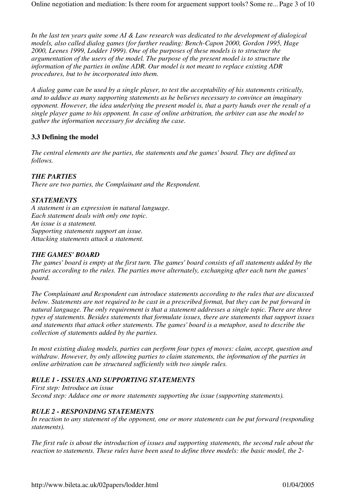*In the last ten years quite some AI & Law research was dedicated to the development of dialogical models, also called dialog games (for further reading: Bench-Capon 2000, Gordon 1995, Hage 2000, Leenes 1999, Lodder 1999). One of the purposes of these models is to structure the argumentation of the users of the model. The purpose of the present model is to structure the information of the parties in online ADR. Our model is not meant to replace existing ADR procedures, but to be incorporated into them.*

*A dialog game can be used by a single player, to test the acceptability of his statements critically, and to adduce as many supporting statements as he believes necessary to convince an imaginary opponent. However, the idea underlying the present model is, that a party hands over the result of a single player game to his opponent. In case of online arbitration, the arbiter can use the model to gather the information necessary for deciding the case.*

## **3.3 Defining the model**

*The central elements are the parties, the statements and the games' board. They are defined as follows.*

## *THE PARTIES*

*There are two parties, the Complainant and the Respondent.*

## *STATEMENTS*

*A statement is an expression in natural language. Each statement deals with only one topic. An issue is a statement. Supporting statements support an issue. Attacking statements attack a statement.*

#### *THE GAMES' BOARD*

*The games' board is empty at the first turn. The games' board consists of all statements added by the parties according to the rules. The parties move alternately, exchanging after each turn the games' board.*

*The Complainant and Respondent can introduce statements according to the rules that are discussed below. Statements are not required to be cast in a prescribed format, but they can be put forward in natural language. The only requirement is that a statement addresses a single topic. There are three types of statements. Besides statements that formulate issues, there are statements that support issues and statements that attack other statements. The games' board is a metaphor, used to describe the collection of statements added by the parties.*

*In most existing dialog models, parties can perform four types of moves: claim, accept, question and withdraw. However, by only allowing parties to claim statements, the information of the parties in online arbitration can be structured sufficiently with two simple rules.*

## *RULE 1 - ISSUES AND SUPPORTING STATEMENTS*

*First step: Introduce an issue Second step: Adduce one or more statements supporting the issue (supporting statements).* 

## *RULE 2 - RESPONDING STATEMENTS*

*In reaction to any statement of the opponent, one or more statements can be put forward (responding statements).*

*The first rule is about the introduction of issues and supporting statements, the second rule about the reaction to statements. These rules have been used to define three models: the basic model, the 2-*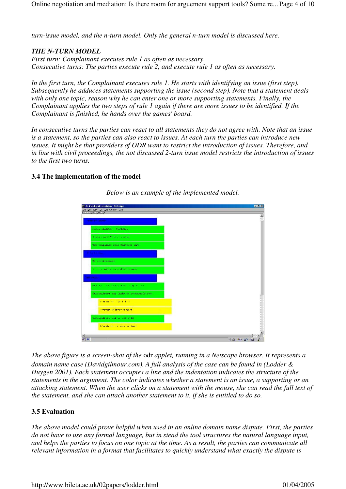*turn-issue model, and the n-turn model. Only the general n-turn model is discussed here.*

## *THE N-TURN MODEL*

*First turn: Complainant executes rule 1 as often as necessary. Consecutive turns: The parties execute rule 2, and execute rule 1 as often as necessary.*

*In the first turn, the Complainant executes rule 1. He starts with identifying an issue (first step). Subsequently he adduces statements supporting the issue (second step). Note that a statement deals with only one topic, reason why he can enter one or more supporting statements. Finally, the Complainant applies the two steps of rule 1 again if there are more issues to be identified. If the Complainant is finished, he hands over the games' board.*

*In consecutive turns the parties can react to all statements they do not agree with. Note that an issue is a statement, so the parties can also react to issues. At each turn the parties can introduce new issues. It might be that providers of ODR want to restrict the introduction of issues. Therefore, and in line with civil proceedings, the not discussed 2-turn issue model restricts the introduction of issues to the first two turns.*

#### **3.4 The implementation of the model**



*Below is an example of the implemented model.*

*The above figure is a screen-shot of the* odr *applet, running in a Netscape browser. It represents a domain name case (Davidgilmour.com). A full analysis of the case can be found in (Lodder & Huygen 2001). Each statement occupies a line and the indentation indicates the structure of the statements in the argument. The color indicates whether a statement is an issue, a supporting or an attacking statement. When the user clicks on a statement with the mouse, she can read the full text of the statement, and she can attach another statement to it, if she is entitled to do so.*

# **3.5 Evaluation**

*The above model could prove helpful when used in an online domain name dispute. First, the parties do not have to use any formal language, but in stead the tool structures the natural language input, and helps the parties to focus on one topic at the time. As a result, the parties can communicate all relevant information in a format that facilitates to quickly understand what exactly the dispute is*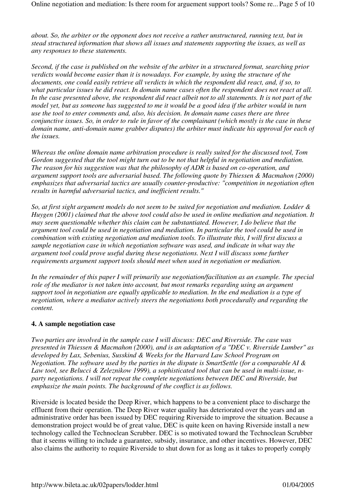*about. So, the arbiter or the opponent does not receive a rather unstructured, running text, but in stead structured information that shows all issues and statements supporting the issues, as well as any responses to these statements.* 

*Second, if the case is published on the website of the arbiter in a structured format, searching prior verdicts would become easier than it is nowadays. For example, by using the structure of the documents, one could easily retrieve all verdicts in which the respondent did react, and, if so, to what particular issues he did react. In domain name cases often the respondent does not react at all. In the case presented above, the respondent did react albeit not to all statements. It is not part of the model yet, but as someone has suggested to me it would be a good idea if the arbiter would in turn use the tool to enter comments and, also, his decision. In domain name cases there are three conjunctive issues. So, in order to rule in favor of the complainant (which mostly is the case in these domain name, anti-domain name grabber disputes) the arbiter must indicate his approval for each of the issues.*

*Whereas the online domain name arbitration procedure is really suited for the discussed tool, Tom Gordon suggested that the tool might turn out to be not that helpful in negotiation and mediation. The reason for his suggestion was that the philosophy of ADR is based on co-operation, and argument support tools are adversarial based. The following quote by Thiessen & Macmahon (2000) emphasizes that adversarial tactics are usually counter-productive: "competition in negotiation often results in harmful adversarial tactics, and inefficient results."*

*So, at first sight argument models do not seem to be suited for negotiation and mediation. Lodder & Huygen (2001) claimed that the above tool could also be used in online mediation and negotiation. It may seem questionable whether this claim can be substantiated. However, I do believe that the argument tool could be used in negotiation and mediation. In particular the tool could be used in combination with existing negotiation and mediation tools. To illustrate this, I will first discuss a sample negotiation case in which negotiation software was used, and indicate in what way the argument tool could prove useful during these negotiations. Next I will discuss some further requirements argument support tools should meet when used in negotiation or mediation.* 

*In the remainder of this paper I will primarily use negotiation/facilitation as an example. The special role of the mediator is not taken into account, but most remarks regarding using an argument support tool in negotiation are equally applicable to mediation. In the end mediation is a type of negotiation, where a mediator actively steers the negotiations both procedurally and regarding the content.*

## **4. A sample negotiation case**

*Two parties are involved in the sample case I will discuss: DEC and Riverside. The case was presented in Thiessen & Macmahon (2000), and is an adaptation of a "DEC v. Riverside Lumber" as developed by Lax, Sebenius, Susskind & Weeks for the Harvard Law School Program on Negotiation. The software used by the parties in the dispute is SmartSettle (for a comparable AI & Law tool, see Belucci & Zeleznikow 1999), a sophisticated tool that can be used in multi-issue, nparty negotiations. I will not repeat the complete negotiations between DEC and Riverside, but emphasize the main points. The background of the conflict is as follows.*

Riverside is located beside the Deep River, which happens to be a convenient place to discharge the effluent from their operation. The Deep River water quality has deteriorated over the years and an administrative order has been issued by DEC requiring Riverside to improve the situation. Because a demonstration project would be of great value, DEC is quite keen on having Riverside install a new technology called the Technoclean Scrubber. DEC is so motivated toward the Technoclean Scrubber that it seems willing to include a guarantee, subsidy, insurance, and other incentives. However, DEC also claims the authority to require Riverside to shut down for as long as it takes to properly comply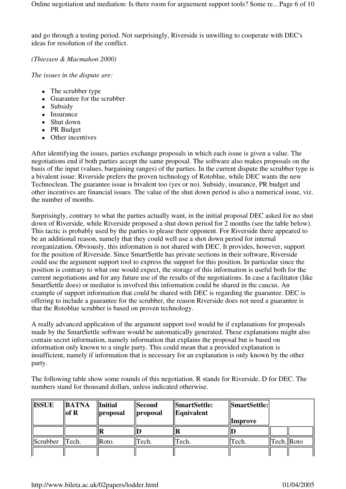and go through a testing period. Not surprisingly, Riverside is unwilling to cooperate with DEC's ideas for resolution of the conflict.

*(Thiessen & Macmahon 2000)*

*The issues in the dispute are:*

- The scrubber type
- Guarantee for the scrubber
- Subsidy
- Insurance
- Shut down
- PR Budget
- Other incentives

After identifying the issues, parties exchange proposals in which each issue is given a value. The negotiations end if both parties accept the same proposal. The software also makes proposals on the basis of the input (values, bargaining ranges) of the parties. In the current dispute the scrubber type is a bivalent issue: Riverside prefers the proven technology of Rotoblue, while DEC wants the new Technoclean. The guarantee issue is bivalent too (yes or no). Subsidy, insurance, PR budget and other incentives are financial issues. The value of the shut down period is also a numerical issue, viz. the number of months.

Surprisingly, contrary to what the parties actually want, in the initial proposal DEC asked for no shut down of Riverside, while Riverside proposed a shut down period for 2 months (see the table below). This tactic is probably used by the parties to please their opponent. For Riverside there appeared to be an additional reason, namely that they could well use a shot down period for internal reorganization. Obviously, this information is not shared with DEC. It provides, however, support for the position of Riverside. Since SmartSettle has private sections in their software, Riverside could use the argument support tool to express the support for this position. In particular since the position is contrary to what one would expect, the storage of this information is useful both for the current negotiations and for any future use of the results of the negotiations. In case a facilitator (like SmartSettle does) or mediator is involved this information could be shared in the caucus. An example of support information that could be shared with DEC is regarding the guarantee. DEC is offering to include a guarantee for the scrubber, the reason Riverside does not need a guarantee is that the Rotoblue scrubber is based on proven technology.

A really advanced application of the argument support tool would be if explanations for proposals made by the SmartSettle software would be automatically generated. These explanations might also contain secret information, namely information that explains the proposal but is based on information only known to a single party. This could mean that a provided explanation is insufficient, namely if information that is necessary for an explanation is only known by the other party.

The following table show some rounds of this negotiation. R stands for Riverside, D for DEC. The numbers stand for thousand dollars, unless indicated otherwise.

| <b>ISSUE</b> | $\parallel$ <b>BATNA</b><br>  of R | <b>Initial</b><br>  proposal | <b>Second</b><br>$\parallel$ proposal | <i><b>SmartSettle:</b></i><br>$\mathbf{[Equivalent]}$ | SmartSettle:   |             |  |
|--------------|------------------------------------|------------------------------|---------------------------------------|-------------------------------------------------------|----------------|-------------|--|
|              |                                    |                              |                                       |                                                       | <i>Improve</i> |             |  |
|              |                                    |                              |                                       |                                                       |                |             |  |
| Scrubber     | $\parallel$ Tech.                  | Roto.                        | Fech.                                 | Tech.                                                 | Tech.          | Tech.  Roto |  |
|              |                                    |                              |                                       |                                                       |                |             |  |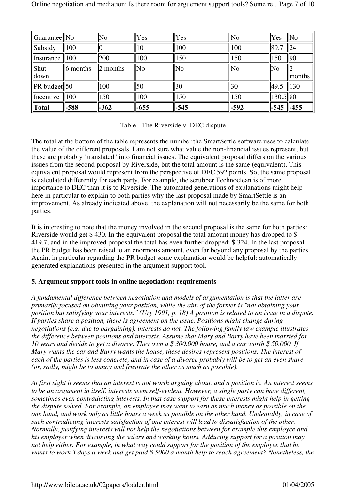| $\vert$ Guarantee $\vert\vert$ No |                  | <b>No</b> | $ Y_{\rm CS} $ | Yes    | $\parallel$ No | $\ $ Yes  | No              |
|-----------------------------------|------------------|-----------|----------------|--------|----------------|-----------|-----------------|
| Subsidy                           | 100              |           | 10             | 100    | 100            | 189.7     | $\frac{1}{2}$   |
| Insurance                         | 100              | 200       | 100            | 150    | 150            | 150       | 90              |
| Shut                              | $\vert$ 6 months | months    | <b>No</b>      | No     | No             | No        |                 |
| down                              |                  |           |                |        |                |           | months          |
| $\ $ PR budget $\ $ 50            |                  | 100       | 50             | 30     | 30             | 49.5      | $\parallel$ 130 |
| Incentive                         | 100              | 150       | 100            | 150    | 150            | 130.5  80 |                 |
| <b>Total</b>                      | $-588$           | $-362$    | $-655$         | $-545$ | $-592$         | $-545$    | $-455$          |

Table - The Riverside v. DEC dispute

The total at the bottom of the table represents the number the SmartSettle software uses to calculate the value of the different proposals. I am not sure what value the non-financial issues represent, but these are probably "translated" into financial issues. The equivalent proposal differs on the various issues from the second proposal by Riverside, but the total amount is the same (equivalent). This equivalent proposal would represent from the perspective of DEC 592 points. So, the same proposal is calculated differently for each party. For example, the scrubber Technoclean is of more importance to DEC than it is to Riverside. The automated generations of explanations might help here in particular to explain to both parties why the last proposal made by SmartSettle is an improvement. As already indicated above, the explanation will not necessarily be the same for both parties.

It is interesting to note that the money involved in the second proposal is the same for both parties: Riverside would get \$ 430. In the equivalent proposal the total amount money has dropped to \$ 419,7, and in the improved proposal the total has even further dropped: \$ 324. In the last proposal the PR budget has been raised to an enormous amount, even far beyond any proposal by the parties. Again, in particular regarding the PR budget some explanation would be helpful: automatically generated explanations presented in the argument support tool.

# **5. Argument support tools in online negotiation: requirements**

*A fundamental difference between negotiation and models of argumentation is that the latter are primarily focused on obtaining your position, while the aim of the former is "not obtaining your position but satisfying your interests." (Ury 1991, p. 18) A position is related to an issue in a dispute. If parties share a position, there is agreement on the issue. Positions might change during negotiations (e.g. due to bargaining), interests do not. The following family law example illustrates the difference between positions and interests. Assume that Mary and Barry have been married for 10 years and decide to get a divorce. They own a \$ 300.000 house, and a car worth \$ 50.000. If Mary wants the car and Barry wants the house, these desires represent positions. The interest of each of the parties is less concrete, and in case of a divorce probably will be to get an even share (or, sadly, might be to annoy and frustrate the other as much as possible).*

*At first sight it seems that an interest is not worth arguing about, and a position is. An interest seems to be an argument in itself, interests seem self-evident. However, a single party can have different, sometimes even contradicting interests. In that case support for these interests might help in getting the dispute solved. For example, an employee may want to earn as much money as possible on the one hand, and work only as little hours a week as possible on the other hand. Undeniably, in case of such contradicting interests satisfaction of one interest will lead to dissatisfaction of the other. Normally, justifying interests will not help the negotiations between for example this employee and his employer when discussing the salary and working hours. Adducing support for a position may not help either. For example, in what way could support for the position of the employee that he wants to work 3 days a week and get paid \$ 5000 a month help to reach agreement? Nonetheless, the*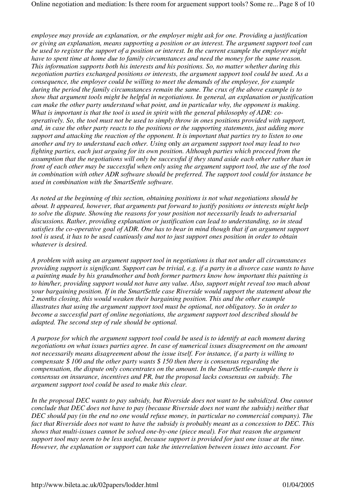*employee may provide an explanation, or the employer might ask for one. Providing a justification or giving an explanation, means supporting a position or an interest. The argument support tool can be used to register the support of a position or interest. In the current example the employer might have to spent time at home due to family circumstances and need the money for the same reason. This information supports both his interests and his positions. So, no matter whether during this negotiation parties exchanged positions or interests, the argument support tool could be used. As a consequence, the employer could be willing to meet the demands of the employee, for example during the period the family circumstances remain the same. The crux of the above example is to show that argument tools might be helpful in negotiations. In general, an explanation or justification can make the other party understand what point, and in particular why, the opponent is making. What is important is that the tool is used in spirit with the general philosophy of ADR: cooperatively. So, the tool must not be used to simply throw in ones positions provided with support, and, in case the other party reacts to the positions or the supporting statements, just adding more support and attacking the reaction of the opponent. It is important that parties try to listen to one another and try to understand each other. Using* only *an argument support tool may lead to two fighting parties, each just arguing for its own position. Although parties which proceed from the assumption that the negotiations will only be successful if they stand aside each other rather than in front of each other may be successful when only using the argument support tool, the use of the tool in combination with other ADR software should be preferred. The support tool could for instance be used in combination with the SmartSettle software.*

*As noted at the beginning of this section, obtaining positions is not what negotiations should be about. It appeared, however, that arguments put forward to justify positions or interests might help to solve the dispute. Showing the reasons for your position not necessarily leads to adversarial discussions. Rather, providing explanation or justification can lead to understanding, so in stead satisfies the co-operative goal of ADR. One has to bear in mind though that if an argument support tool is used, it has to be used cautiously and not to just support ones position in order to obtain whatever is desired.* 

*A problem with using an argument support tool in negotiations is that not under all circumstances providing support is significant. Support can be trivial, e.g. if a party in a divorce case wants to have a painting made by his grandmother and both former partners know how important this painting is to him/her, providing support would not have any value. Also, support might reveal too much about your bargaining position. If in the SmartSettle case Riverside would support the statement about the 2 months closing, this would weaken their bargaining position. This and the other example illustrates that using the argument support tool must be optional, not obligatory. So in order to become a successful part of online negotiations, the argument support tool described should be adapted. The second step of rule should be optional.*

*A purpose for which the argument support tool could be used is to identify at each moment during negotiations on what issues parties agree. In case of numerical issues disagreement on the amount not necessarily means disagreement about the issue itself. For instance, if a party is willing to compensate \$ 100 and the other party wants \$ 150 then there is consensus regarding the compensation, the dispute only concentrates on the amount. In the SmartSettle-example there is consensus on insurance, incentives and PR, but the proposal lacks consensus on subsidy. The argument support tool could be used to make this clear.* 

*In the proposal DEC wants to pay subsidy, but Riverside does not want to be subsidized. One cannot conclude that DEC does not have to pay (because Riverside does not want the subsidy) neither that DEC should pay (in the end no one would refuse money, in particular no commercial company). The fact that Riverside does not want to have the subsidy is probably meant as a concession to DEC. This shows that multi-issues cannot be solved one-by-one (piece meal). For that reason the argument support tool may seem to be less useful, because support is provided for just one issue at the time. However, the explanation or support can take the interrelation between issues into account. For*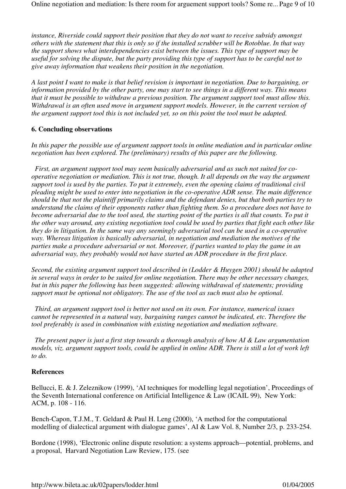*instance, Riverside could support their position that they do not want to receive subsidy amongst others with the statement that this is only so if the installed scrubber will be Rotoblue. In that way the support shows what interdependencies exist between the issues. This type of support may be useful for solving the dispute, but the party providing this type of support has to be careful not to give away information that weakens their position in the negotiation.*

*A last point I want to make is that belief revision is important in negotiation. Due to bargaining, or information provided by the other party, one may start to see things in a different way. This means that it must be possible to withdraw a previous position. The argument support tool must allow this. Withdrawal is an often used move in argument support models. However, in the current version of the argument support tool this is not included yet, so on this point the tool must be adapted.*

## **6. Concluding observations**

*In this paper the possible use of argument support tools in online mediation and in particular online negotiation has been explored. The (preliminary) results of this paper are the following.*

 *First, an argument support tool may seem basically adversarial and as such not suited for cooperative negotiation or mediation. This is not true, though. It all depends on the way the argument support tool is used by the parties. To put it extremely, even the opening claims of traditional civil pleading might be used to enter into negotiation in the co-operative ADR sense. The main difference should be that not the plaintiff primarily claims and the defendant denies, but that both parties try to understand the claims of their opponents rather than fighting them. So a procedure does not have to become adversarial due to the tool used, the starting point of the parties is all that counts. To put it the other way around, any existing negotiation tool could be used by parties that fight each other like they do in litigation. In the same way any seemingly adversarial tool can be used in a co-operative way. Whereas litigation is basically adversarial, in negotiation and mediation the motives of the parties make a procedure adversarial or not. Moreover, if parties wanted to play the game in an adversarial way, they probably would not have started an ADR procedure in the first place.*

*Second, the existing argument support tool described in (Lodder & Huygen 2001) should be adapted in several ways in order to be suited for online negotiation. There may be other necessary changes, but in this paper the following has been suggested: allowing withdrawal of statements; providing support must be optional not obligatory. The use of the tool as such must also be optional.*

 *Third, an argument support tool is better not used on its own. For instance, numerical issues cannot be represented in a natural way, bargaining ranges cannot be indicated, etc. Therefore the tool preferably is used in combination with existing negotiation and mediation software.*

 *The present paper is just a first step towards a thorough analysis of how AI & Law argumentation models, viz. argument support tools, could be applied in online ADR. There is still a lot of work left to do.*

## **References**

Bellucci, E. & J. Zeleznikow (1999), 'AI techniques for modelling legal negotiation', Proceedings of the Seventh International conference on Artificial Intelligence & Law (ICAIL 99), New York: ACM, p. 108 - 116.

Bench-Capon, T.J.M., T. Geldard & Paul H. Leng (2000), 'A method for the computational modelling of dialectical argument with dialogue games', AI & Law Vol. 8, Number 2/3, p. 233-254.

Bordone (1998), 'Electronic online dispute resolution: a systems approach—potential, problems, and a proposal, Harvard Negotiation Law Review, 175. (see